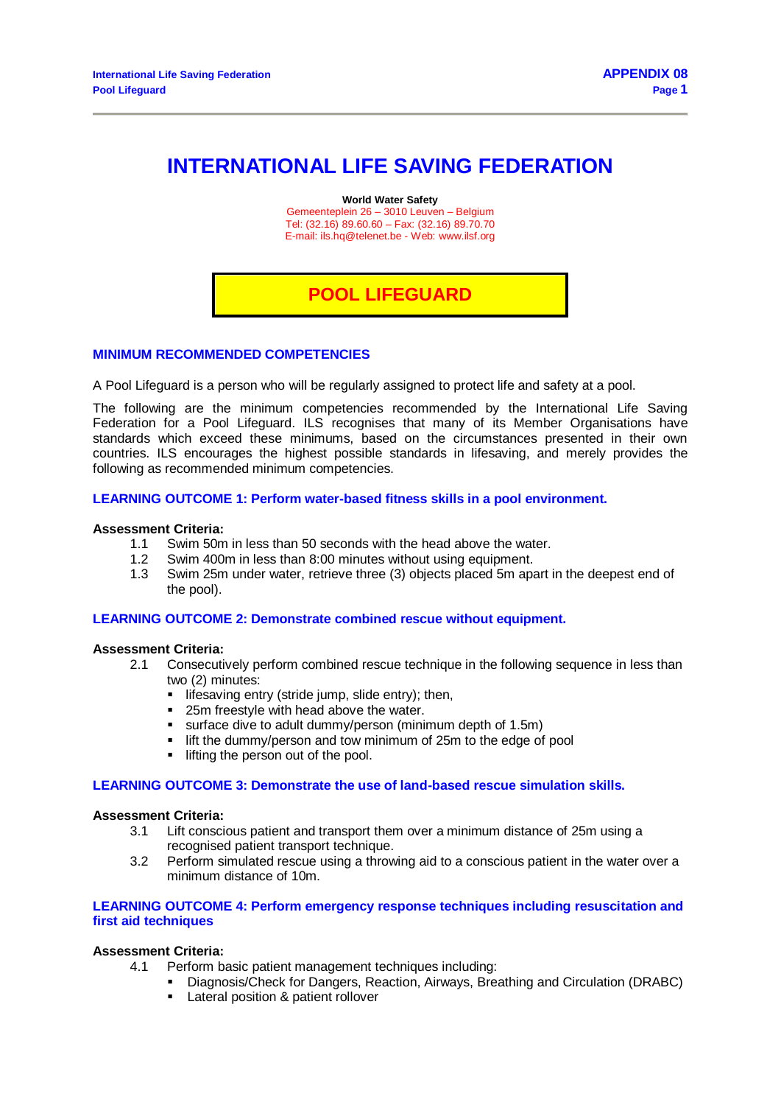# **INTERNATIONAL LIFE SAVING FEDERATION**

**World Water Safety**

Gemeenteplein 26 – 3010 Leuven – Belgium Tel: (32.16) 89.60.60 – Fax: (32.16) 89.70.70 E-mail[: ils.hq@telenet.be](mailto:ils.hq@telenet.be) - Web[: www.ilsf.org](http://www.ilsf.org/)

## **POOL LIFEGUARD**

## **MINIMUM RECOMMENDED COMPETENCIES**

A Pool Lifeguard is a person who will be regularly assigned to protect life and safety at a pool.

The following are the minimum competencies recommended by the International Life Saving Federation for a Pool Lifeguard. ILS recognises that many of its Member Organisations have standards which exceed these minimums, based on the circumstances presented in their own countries. ILS encourages the highest possible standards in lifesaving, and merely provides the following as recommended minimum competencies.

## **LEARNING OUTCOME 1: Perform water-based fitness skills in a pool environment.**

#### **Assessment Criteria:**

- 1.1 Swim 50m in less than 50 seconds with the head above the water.
- 1.2 Swim 400m in less than 8:00 minutes without using equipment.
- 1.3 Swim 25m under water, retrieve three (3) objects placed 5m apart in the deepest end of the pool).

#### **LEARNING OUTCOME 2: Demonstrate combined rescue without equipment.**

#### **Assessment Criteria:**

- 2.1 Consecutively perform combined rescue technique in the following sequence in less than two (2) minutes:
	- **I** lifesaving entry (stride jump, slide entry); then,
	- **25m freestyle with head above the water.**
	- surface dive to adult dummy/person (minimum depth of 1.5m)
	- **If if the dummy/person and tow minimum of 25m to the edge of pool**
	- $\blacksquare$  lifting the person out of the pool.

#### **LEARNING OUTCOME 3: Demonstrate the use of land-based rescue simulation skills.**

#### **Assessment Criteria:**

- 3.1 Lift conscious patient and transport them over a minimum distance of 25m using a recognised patient transport technique.
- 3.2 Perform simulated rescue using a throwing aid to a conscious patient in the water over a minimum distance of 10m.

#### **LEARNING OUTCOME 4: Perform emergency response techniques including resuscitation and first aid techniques**

#### **Assessment Criteria:**

- 4.1 Perform basic patient management techniques including:
	- Diagnosis/Check for Dangers, Reaction, Airways, Breathing and Circulation (DRABC)
	- **Lateral position & patient rollover**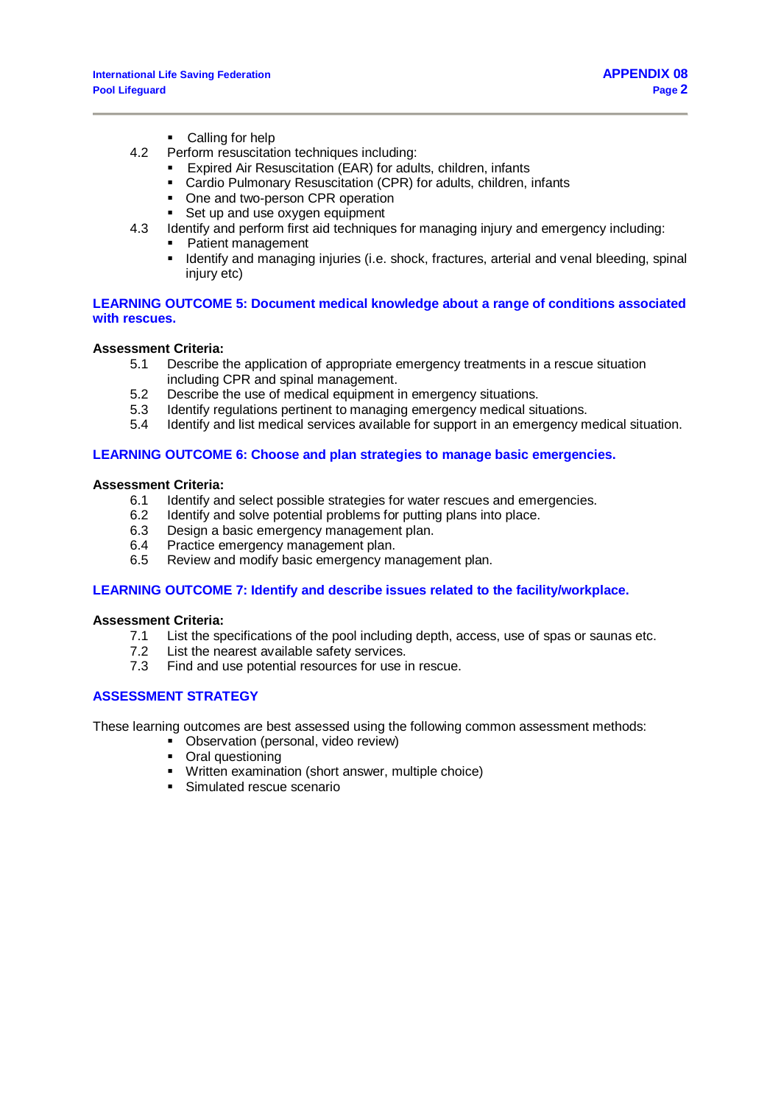- Calling for help
- 4.2 Perform resuscitation techniques including:
	- Expired Air Resuscitation (EAR) for adults, children, infants
	- Cardio Pulmonary Resuscitation (CPR) for adults, children, infants
	- One and two-person CPR operation<br>• Set up and use oxygen equipment
	- Set up and use oxygen equipment
- 4.3 Identify and perform first aid techniques for managing injury and emergency including:
	- **Patient management** 
		- Identify and managing injuries (i.e. shock, fractures, arterial and venal bleeding, spinal injury etc)

## **LEARNING OUTCOME 5: Document medical knowledge about a range of conditions associated with rescues.**

#### **Assessment Criteria:**

- 5.1 Describe the application of appropriate emergency treatments in a rescue situation including CPR and spinal management.
- 5.2 Describe the use of medical equipment in emergency situations.
- 5.3 Identify regulations pertinent to managing emergency medical situations.
- 5.4 Identify and list medical services available for support in an emergency medical situation.

## **LEARNING OUTCOME 6: Choose and plan strategies to manage basic emergencies.**

#### **Assessment Criteria:**

- 6.1 Identify and select possible strategies for water rescues and emergencies.
- 6.2 Identify and solve potential problems for putting plans into place.
- 6.3 Design a basic emergency management plan.
- 6.4 Practice emergency management plan.
- 6.5 Review and modify basic emergency management plan.

## **LEARNING OUTCOME 7: Identify and describe issues related to the facility/workplace.**

#### **Assessment Criteria:**

- 7.1 List the specifications of the pool including depth, access, use of spas or saunas etc.
- 7.2 List the nearest available safety services.
- 7.3 Find and use potential resources for use in rescue.

## **ASSESSMENT STRATEGY**

These learning outcomes are best assessed using the following common assessment methods:

- Observation (personal, video review)
- Oral questioning
- Written examination (short answer, multiple choice)
- **Simulated rescue scenario**